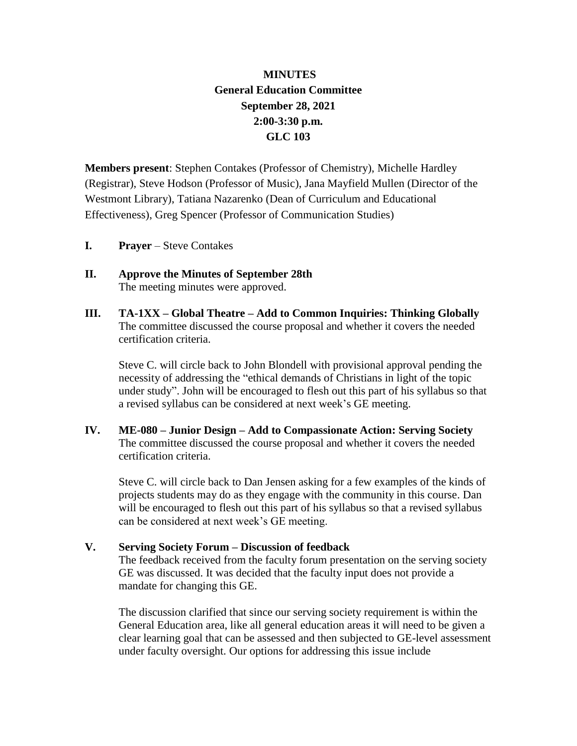## **MINUTES General Education Committee September 28, 2021 2:00-3:30 p.m. GLC 103**

**Members present**: Stephen Contakes (Professor of Chemistry), Michelle Hardley (Registrar), Steve Hodson (Professor of Music), Jana Mayfield Mullen (Director of the Westmont Library), Tatiana Nazarenko (Dean of Curriculum and Educational Effectiveness), Greg Spencer (Professor of Communication Studies)

- **I. Prayer** Steve Contakes
- **II. Approve the Minutes of September 28th** The meeting minutes were approved.
- **III. TA-1XX – Global Theatre – Add to Common Inquiries: Thinking Globally** The committee discussed the course proposal and whether it covers the needed certification criteria.

Steve C. will circle back to John Blondell with provisional approval pending the necessity of addressing the "ethical demands of Christians in light of the topic under study". John will be encouraged to flesh out this part of his syllabus so that a revised syllabus can be considered at next week's GE meeting.

**IV. ME-080 – Junior Design – Add to Compassionate Action: Serving Society** The committee discussed the course proposal and whether it covers the needed certification criteria.

Steve C. will circle back to Dan Jensen asking for a few examples of the kinds of projects students may do as they engage with the community in this course. Dan will be encouraged to flesh out this part of his syllabus so that a revised syllabus can be considered at next week's GE meeting.

**V. Serving Society Forum – Discussion of feedback**

The feedback received from the faculty forum presentation on the serving society GE was discussed. It was decided that the faculty input does not provide a mandate for changing this GE.

The discussion clarified that since our serving society requirement is within the General Education area, like all general education areas it will need to be given a clear learning goal that can be assessed and then subjected to GE-level assessment under faculty oversight. Our options for addressing this issue include